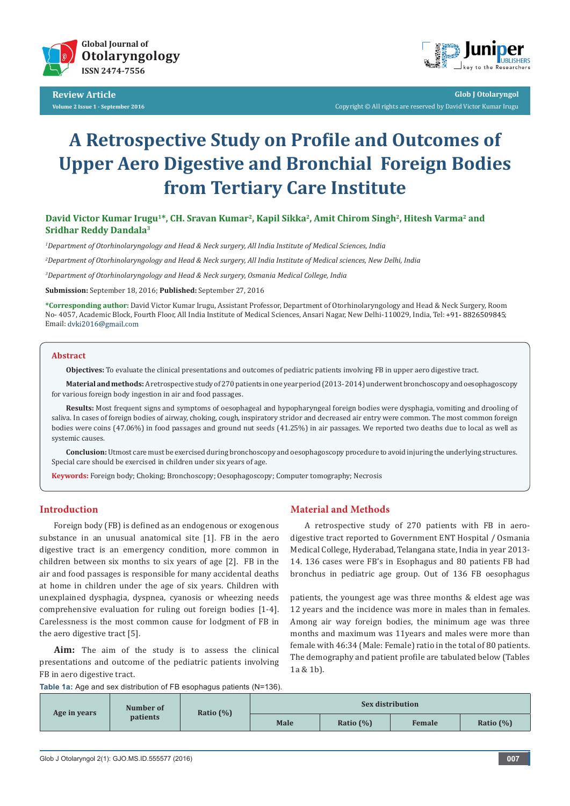

**Review Article Volume 2 Issue 1 - September 2016**



**Glob J Otolaryngol** Copyright © All rights are reserved by David Victor Kumar Irugu

# **A Retrospective Study on Profile and Outcomes of Upper Aero Digestive and Bronchial Foreign Bodies from Tertiary Care Institute**

**David Victor Kumar Irugu1\*, CH. Sravan Kumar2, Kapil Sikka2, Amit Chirom Singh<sup>2</sup>, Hitesh Varma2 and Sridhar Reddy Dandala3**

*1 Department of Otorhinolaryngology and Head & Neck surgery, All India Institute of Medical Sciences, India*

*2 Department of Otorhinolaryngology and Head & Neck surgery, All India Institute of Medical sciences, New Delhi, India*

*3 Department of Otorhinolaryngology and Head & Neck surgery, Osmania Medical College, India*

**Submission:** September 18, 2016; **Published:** September 27, 2016

**\*Corresponding author:** David Victor Kumar Irugu, Assistant Professor, Department of Otorhinolaryngology and Head & Neck Surgery, Room No- 4057, Academic Block, Fourth Floor, All India Institute of Medical Sciences, Ansari Nagar, New Delhi-110029, India, Tel: +91- 8826509845; Email: dvki2016@gmail.com

#### **Abstract**

**Objectives:** To evaluate the clinical presentations and outcomes of pediatric patients involving FB in upper aero digestive tract.

**Material and methods:** A retrospective study of 270 patients in one year period (2013- 2014) underwent bronchoscopy and oesophagoscopy for various foreign body ingestion in air and food passages.

**Results:** Most frequent signs and symptoms of oesophageal and hypopharyngeal foreign bodies were dysphagia, vomiting and drooling of saliva. In cases of foreign bodies of airway, choking, cough, inspiratory stridor and decreased air entry were common. The most common foreign bodies were coins (47.06%) in food passages and ground nut seeds (41.25%) in air passages. We reported two deaths due to local as well as systemic causes.

**Conclusion:** Utmost care must be exercised during bronchoscopy and oesophagoscopy procedure to avoid injuring the underlying structures. Special care should be exercised in children under six years of age.

**Keywords:** Foreign body; Choking; Bronchoscopy; Oesophagoscopy; Computer tomography; Necrosis

# **Introduction**

Foreign body (FB) is defined as an endogenous or exogenous substance in an unusual anatomical site [1]. FB in the aero digestive tract is an emergency condition, more common in children between six months to six years of age [2]. FB in the air and food passages is responsible for many accidental deaths at home in children under the age of six years. Children with unexplained dysphagia, dyspnea, cyanosis or wheezing needs comprehensive evaluation for ruling out foreign bodies [1-4]. Carelessness is the most common cause for lodgment of FB in the aero digestive tract [5].

**Aim:** The aim of the study is to assess the clinical presentations and outcome of the pediatric patients involving FB in aero digestive tract.

# **Material and Methods**

A retrospective study of 270 patients with FB in aerodigestive tract reported to Government ENT Hospital / Osmania Medical College, Hyderabad, Telangana state, India in year 2013- 14. 136 cases were FB's in Esophagus and 80 patients FB had bronchus in pediatric age group. Out of 136 FB oesophagus

patients, the youngest age was three months & eldest age was 12 years and the incidence was more in males than in females. Among air way foreign bodies, the minimum age was three months and maximum was 11years and males were more than female with 46:34 (Male: Female) ratio in the total of 80 patients. The demography and patient profile are tabulated below (Tables 1a & 1b).

**Table 1a:** Age and sex distribution of FB esophagus patients (N=136).

| Age in years | Number of<br>patients | Ratio $(\%)$ | Sex distribution |              |        |              |  |
|--------------|-----------------------|--------------|------------------|--------------|--------|--------------|--|
|              |                       |              | Male             | Ratio $(\%)$ | Female | Ratio $(\%)$ |  |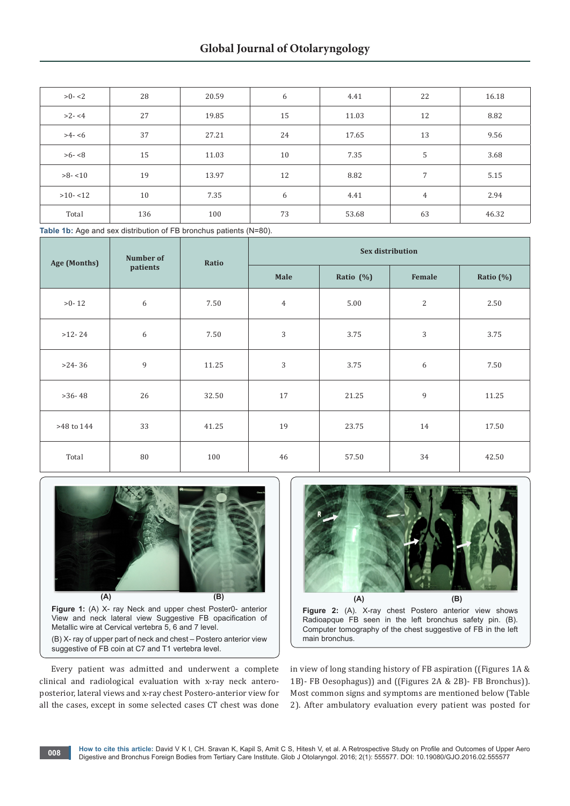| $>0 - 2$   | 28  | 20.59 | 6  | 4.41  | 22             | 16.18 |
|------------|-----|-------|----|-------|----------------|-------|
| $>2 - 4$   | 27  | 19.85 | 15 | 11.03 | 12             | 8.82  |
| $>4-6$     | 37  | 27.21 | 24 | 17.65 | 13             | 9.56  |
| $>6 - 8$   | 15  | 11.03 | 10 | 7.35  | 5              | 3.68  |
| $>8 - 10$  | 19  | 13.97 | 12 | 8.82  | 7              | 5.15  |
| $>10 - 12$ | 10  | 7.35  | 6  | 4.41  | $\overline{4}$ | 2.94  |
| Total      | 136 | 100   | 73 | 53.68 | 63             | 46.32 |

Table 1b: Age and sex distribution of FB bronchus patients (N=80).

| Age (Months) | Number of<br>patients | Ratio | <b>Sex distribution</b> |           |                |           |  |  |
|--------------|-----------------------|-------|-------------------------|-----------|----------------|-----------|--|--|
|              |                       |       | Male                    | Ratio (%) | Female         | Ratio (%) |  |  |
| $>0-12$      | 6                     | 7.50  | $\overline{4}$          | 5.00      | $\overline{2}$ | 2.50      |  |  |
| $>12-24$     | 6                     | 7.50  | $\sqrt{3}$              | 3.75      | 3              | 3.75      |  |  |
| $>24-36$     | 9                     | 11.25 | $\sqrt{3}$              | 3.75      | 6              | 7.50      |  |  |
| $>36-48$     | 26                    | 32.50 | 17                      | 21.25     | 9              | 11.25     |  |  |
| >48 to 144   | 33                    | 41.25 | 19                      | 23.75     | 14             | 17.50     |  |  |
| Total        | 80                    | 100   | 46                      | 57.50     | 34             | 42.50     |  |  |



**Figure 1:** (A) X- ray Neck and upper chest Poster0- anterior View and neck lateral view Suggestive FB opacification of Metallic wire at Cervical vertebra 5, 6 and 7 level. (B) X- ray of upper part of neck and chest – Postero anterior view suggestive of FB coin at C7 and T1 vertebra level.

Every patient was admitted and underwent a complete clinical and radiological evaluation with x-ray neck anteroposterior, lateral views and x-ray chest Postero-anterior view for all the cases, except in some selected cases CT chest was done



**Figure 2:** (A). X-ray chest Postero anterior view shows Radioapque FB seen in the left bronchus safety pin. (B). Computer tomography of the chest suggestive of FB in the left main bronchus.

in view of long standing history of FB aspiration ((Figures 1A & 1B)- FB Oesophagus)) and ((Figures 2A & 2B)- FB Bronchus)). Most common signs and symptoms are mentioned below (Table 2). After ambulatory evaluation every patient was posted for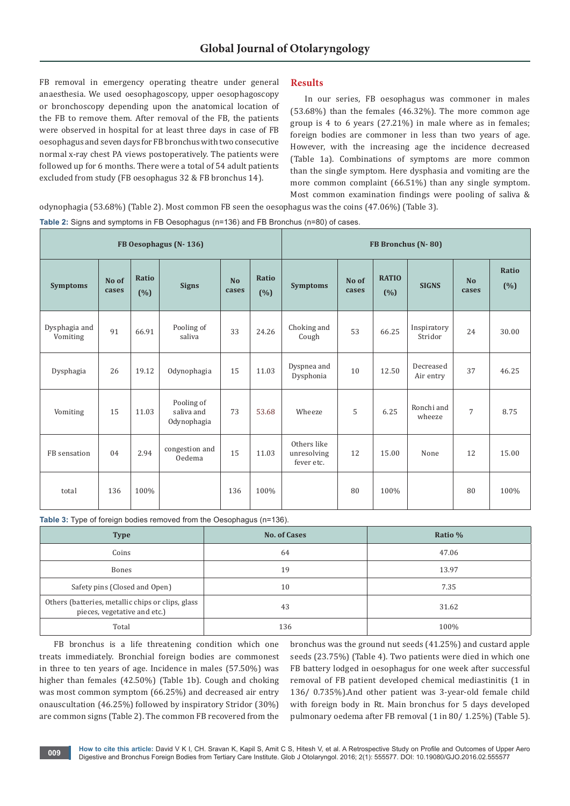FB removal in emergency operating theatre under general anaesthesia. We used oesophagoscopy, upper oesophagoscopy or bronchoscopy depending upon the anatomical location of the FB to remove them. After removal of the FB, the patients were observed in hospital for at least three days in case of FB oesophagus and seven days for FB bronchus with two consecutive normal x-ray chest PA views postoperatively. The patients were followed up for 6 months. There were a total of 54 adult patients excluded from study (FB oesophagus 32 & FB bronchus 14).

# **Results**

In our series, FB oesophagus was commoner in males (53.68%) than the females (46.32%). The more common age group is 4 to 6 years (27.21%) in male where as in females; foreign bodies are commoner in less than two years of age. However, with the increasing age the incidence decreased (Table 1a). Combinations of symptoms are more common than the single symptom. Here dysphasia and vomiting are the more common complaint (66.51%) than any single symptom. Most common examination findings were pooling of saliva &

odynophagia (53.68%) (Table 2). Most common FB seen the oesophagus was the coins (47.06%) (Table 3).

**Table 2:** Signs and symptoms in FB Oesophagus (n=136) and FB Bronchus (n=80) of cases.

| FB Oesophagus (N-136)     |                |               |                                         |                    | FB Bronchus (N-80)   |                                          |                |                     |                        |                         |               |
|---------------------------|----------------|---------------|-----------------------------------------|--------------------|----------------------|------------------------------------------|----------------|---------------------|------------------------|-------------------------|---------------|
| <b>Symptoms</b>           | No of<br>cases | Ratio<br>(% ) | <b>Signs</b>                            | <b>No</b><br>cases | <b>Ratio</b><br>(% ) | <b>Symptoms</b>                          | No of<br>cases | <b>RATIO</b><br>(%) | <b>SIGNS</b>           | N <sub>o</sub><br>cases | Ratio<br>(% ) |
| Dysphagia and<br>Vomiting | 91             | 66.91         | Pooling of<br>saliva                    | 33                 | 24.26                | Choking and<br>Cough                     | 53             | 66.25               | Inspiratory<br>Stridor | 24                      | 30.00         |
| Dysphagia                 | 26             | 19.12         | Odynophagia                             | 15                 | 11.03                | Dyspnea and<br>Dysphonia                 | 10             | 12.50               | Decreased<br>Air entry | 37                      | 46.25         |
| Vomiting                  | 15             | 11.03         | Pooling of<br>saliva and<br>Odynophagia | 73                 | 53.68                | Wheeze                                   | 5              | 6.25                | Ronchi and<br>wheeze   | $\overline{7}$          | 8.75          |
| FB sensation              | 04             | 2.94          | congestion and<br>Oedema                | 15                 | 11.03                | Others like<br>unresolving<br>fever etc. | 12             | 15.00               | None                   | 12                      | 15.00         |
| total                     | 136            | 100%          |                                         | 136                | 100%                 |                                          | 80             | 100%                |                        | 80                      | 100%          |

**Table 3:** Type of foreign bodies removed from the Oesophagus (n=136).

| <b>Type</b>                                                                       | <b>No. of Cases</b> | Ratio % |
|-----------------------------------------------------------------------------------|---------------------|---------|
| Coins                                                                             | 64                  | 47.06   |
| Bones                                                                             | 19                  | 13.97   |
| Safety pins (Closed and Open)                                                     | 10                  | 7.35    |
| Others (batteries, metallic chips or clips, glass<br>pieces, vegetative and etc.) | 43                  | 31.62   |
| Total                                                                             | 136                 | 100%    |

FB bronchus is a life threatening condition which one treats immediately. Bronchial foreign bodies are commonest in three to ten years of age. Incidence in males (57.50%) was higher than females (42.50%) (Table 1b). Cough and choking was most common symptom (66.25%) and decreased air entry onauscultation (46.25%) followed by inspiratory Stridor (30%) are common signs (Table 2). The common FB recovered from the

bronchus was the ground nut seeds (41.25%) and custard apple seeds (23.75%) (Table 4). Two patients were died in which one FB battery lodged in oesophagus for one week after successful removal of FB patient developed chemical mediastinitis (1 in 136/ 0.735%).And other patient was 3-year-old female child with foreign body in Rt. Main bronchus for 5 days developed pulmonary oedema after FB removal (1 in 80/ 1.25%) (Table 5).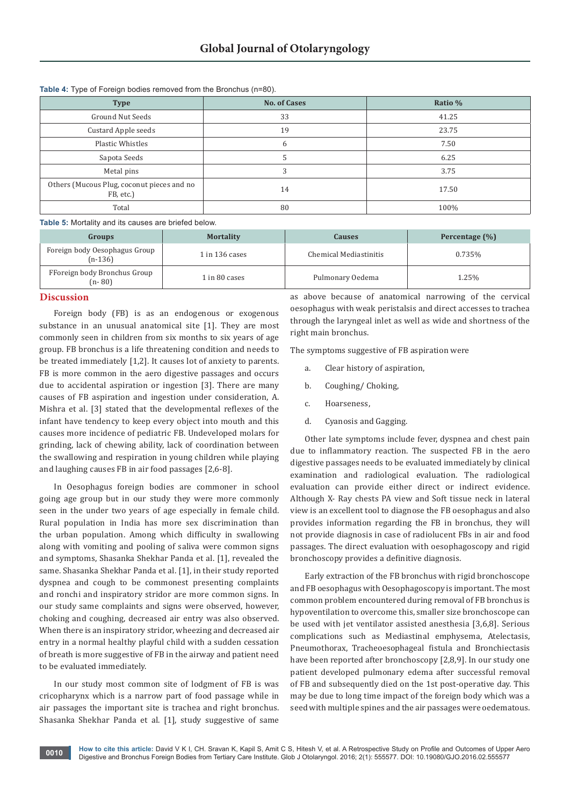| . .                                                     |                     |         |  |  |
|---------------------------------------------------------|---------------------|---------|--|--|
| <b>Type</b>                                             | <b>No. of Cases</b> | Ratio % |  |  |
| Ground Nut Seeds                                        | 33                  | 41.25   |  |  |
| Custard Apple seeds                                     | 19                  | 23.75   |  |  |
| Plastic Whistles                                        | 6                   | 7.50    |  |  |
| Sapota Seeds                                            | 5                   | 6.25    |  |  |
| Metal pins                                              | 3                   | 3.75    |  |  |
| Others (Mucous Plug, coconut pieces and no<br>FB, etc.) | 14                  | 17.50   |  |  |
| Total                                                   | 80                  | 100%    |  |  |

**Table 4:** Type of Foreign bodies removed from the Bronchus (n=80).

**Table 5:** Mortality and its causes are briefed below.

| Groups                                                      | <b>Mortality</b> | Causes                 | Percentage $(\% )$ |  |
|-------------------------------------------------------------|------------------|------------------------|--------------------|--|
| Foreign body Oesophagus Group<br>$(n-136)$                  | $1$ in 136 cases | Chemical Mediastinitis | 0.735%             |  |
| FForeign body Bronchus Group<br>1 in 80 cases<br>$(n - 80)$ |                  | Pulmonary Oedema       | 1.25%              |  |

#### **Discussion**

Foreign body (FB) is as an endogenous or exogenous substance in an unusual anatomical site [1]. They are most commonly seen in children from six months to six years of age group. FB bronchus is a life threatening condition and needs to be treated immediately [1,2]. It causes lot of anxiety to parents. FB is more common in the aero digestive passages and occurs due to accidental aspiration or ingestion [3]. There are many causes of FB aspiration and ingestion under consideration, A. Mishra et al. [3] stated that the developmental reflexes of the infant have tendency to keep every object into mouth and this causes more incidence of pediatric FB. Undeveloped molars for grinding, lack of chewing ability, lack of coordination between the swallowing and respiration in young children while playing and laughing causes FB in air food passages [2,6-8].

In Oesophagus foreign bodies are commoner in school going age group but in our study they were more commonly seen in the under two years of age especially in female child. Rural population in India has more sex discrimination than the urban population. Among which difficulty in swallowing along with vomiting and pooling of saliva were common signs and symptoms, Shasanka Shekhar Panda et al. [1], revealed the same. Shasanka Shekhar Panda et al. [1], in their study reported dyspnea and cough to be commonest presenting complaints and ronchi and inspiratory stridor are more common signs. In our study same complaints and signs were observed, however, choking and coughing, decreased air entry was also observed. When there is an inspiratory stridor, wheezing and decreased air entry in a normal healthy playful child with a sudden cessation of breath is more suggestive of FB in the airway and patient need to be evaluated immediately.

In our study most common site of lodgment of FB is was cricopharynx which is a narrow part of food passage while in air passages the important site is trachea and right bronchus. Shasanka Shekhar Panda et al. [1], study suggestive of same

as above because of anatomical narrowing of the cervical oesophagus with weak peristalsis and direct accesses to trachea through the laryngeal inlet as well as wide and shortness of the right main bronchus.

The symptoms suggestive of FB aspiration were

- a. Clear history of aspiration,
- b. Coughing/ Choking,
- c. Hoarseness,
- d. Cyanosis and Gagging.

Other late symptoms include fever, dyspnea and chest pain due to inflammatory reaction. The suspected FB in the aero digestive passages needs to be evaluated immediately by clinical examination and radiological evaluation. The radiological evaluation can provide either direct or indirect evidence. Although X- Ray chests PA view and Soft tissue neck in lateral view is an excellent tool to diagnose the FB oesophagus and also provides information regarding the FB in bronchus, they will not provide diagnosis in case of radiolucent FBs in air and food passages. The direct evaluation with oesophagoscopy and rigid bronchoscopy provides a definitive diagnosis.

Early extraction of the FB bronchus with rigid bronchoscope and FB oesophagus with Oesophagoscopy is important. The most common problem encountered during removal of FB bronchus is hypoventilation to overcome this, smaller size bronchoscope can be used with jet ventilator assisted anesthesia [3,6,8]. Serious complications such as Mediastinal emphysema, Atelectasis, Pneumothorax, Tracheoesophageal fistula and Bronchiectasis have been reported after bronchoscopy [2,8,9]. In our study one patient developed pulmonary edema after successful removal of FB and subsequently died on the 1st post-operative day. This may be due to long time impact of the foreign body which was a seed with multiple spines and the air passages were oedematous.